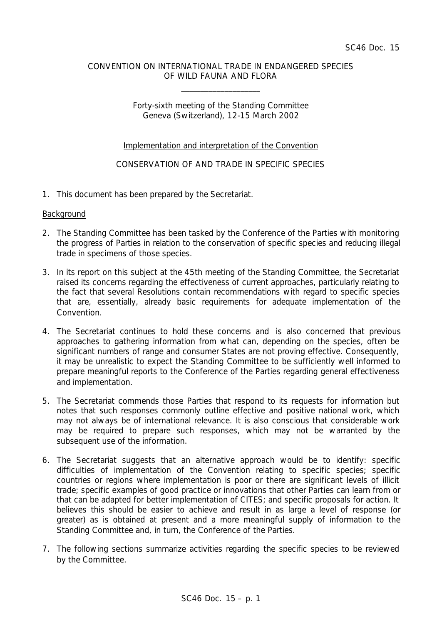### CONVENTION ON INTERNATIONAL TRADE IN ENDANGERED SPECIES OF WILD FAUNA AND FLORA

\_\_\_\_\_\_\_\_\_\_\_\_\_\_\_\_\_\_\_\_

## Forty-sixth meeting of the Standing Committee Geneva (Switzerland), 12-15 March 2002

# Implementation and interpretation of the Convention

# CONSERVATION OF AND TRADE IN SPECIFIC SPECIES

1. This document has been prepared by the Secretariat.

#### **Background**

- 2. The Standing Committee has been tasked by the Conference of the Parties with monitoring the progress of Parties in relation to the conservation of specific species and reducing illegal trade in specimens of those species.
- 3. In its report on this subject at the 45th meeting of the Standing Committee, the Secretariat raised its concerns regarding the effectiveness of current approaches, particularly relating to the fact that several Resolutions contain recommendations with regard to specific species that are, essentially, already basic requirements for adequate implementation of the Convention.
- 4. The Secretariat continues to hold these concerns and is also concerned that previous approaches to gathering information from what can, depending on the species, often be significant numbers of range and consumer States are not proving effective. Consequently, it may be unrealistic to expect the Standing Committee to be sufficiently well informed to prepare meaningful reports to the Conference of the Parties regarding general effectiveness and implementation.
- 5. The Secretariat commends those Parties that respond to its requests for information but notes that such responses commonly outline effective and positive national work, which may not always be of international relevance. It is also conscious that considerable work may be required to prepare such responses, which may not be warranted by the subsequent use of the information.
- 6. The Secretariat suggests that an alternative approach would be to identify: specific difficulties of implementation of the Convention relating to specific species; specific countries or regions where implementation is poor or there are significant levels of illicit trade; specific examples of good practice or innovations that other Parties can learn from or that can be adapted for better implementation of CITES; and specific proposals for action. It believes this should be easier to achieve and result in as large a level of response (or greater) as is obtained at present and a more meaningful supply of information to the Standing Committee and, in turn, the Conference of the Parties.
- 7. The following sections summarize activities regarding the specific species to be reviewed by the Committee.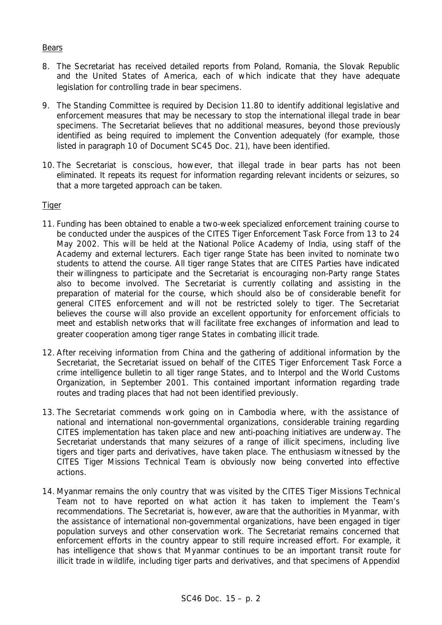## Bears

- 8. The Secretariat has received detailed reports from Poland, Romania, the Slovak Republic and the United States of America, each of which indicate that they have adequate legislation for controlling trade in bear specimens.
- 9. The Standing Committee is required by Decision 11.80 to identify additional legislative and enforcement measures that may be necessary to stop the international illegal trade in bear specimens. The Secretariat believes that no additional measures, beyond those previously identified as being required to implement the Convention adequately (for example, those listed in paragraph 10 of Document SC45 Doc. 21), have been identified.
- 10. The Secretariat is conscious, however, that illegal trade in bear parts has not been eliminated. It repeats its request for information regarding relevant incidents or seizures, so that a more targeted approach can be taken.

# **Tiger**

- 11. Funding has been obtained to enable a two-week specialized enforcement training course to be conducted under the auspices of the CITES Tiger Enforcement Task Force from 13 to 24 May 2002. This will be held at the National Police Academy of India, using staff of the Academy and external lecturers. Each tiger range State has been invited to nominate two students to attend the course. All tiger range States that are CITES Parties have indicated their willingness to participate and the Secretariat is encouraging non-Party range States also to become involved. The Secretariat is currently collating and assisting in the preparation of material for the course, which should also be of considerable benefit for general CITES enforcement and will not be restricted solely to tiger. The Secretariat believes the course will also provide an excellent opportunity for enforcement officials to meet and establish networks that will facilitate free exchanges of information and lead to greater cooperation among tiger range States in combating illicit trade.
- 12. After receiving information from China and the gathering of additional information by the Secretariat, the Secretariat issued on behalf of the CITES Tiger Enforcement Task Force a crime intelligence bulletin to all tiger range States, and to Interpol and the World Customs Organization, in September 2001. This contained important information regarding trade routes and trading places that had not been identified previously.
- 13. The Secretariat commends work going on in Cambodia where, with the assistance of national and international non-governmental organizations, considerable training regarding CITES implementation has taken place and new anti-poaching initiatives are underway. The Secretariat understands that many seizures of a range of illicit specimens, including live tigers and tiger parts and derivatives, have taken place. The enthusiasm witnessed by the CITES Tiger Missions Technical Team is obviously now being converted into effective actions.
- 14. Myanmar remains the only country that was visited by the CITES Tiger Missions Technical Team not to have reported on what action it has taken to implement the Team's recommendations. The Secretariat is, however, aware that the authorities in Myanmar, with the assistance of international non-governmental organizations, have been engaged in tiger population surveys and other conservation work. The Secretariat remains concerned that enforcement efforts in the country appear to still require increased effort. For example, it has intelligence that shows that Myanmar continues to be an important transit route for illicit trade in wildlife, including tiger parts and derivatives, and that specimens of AppendixI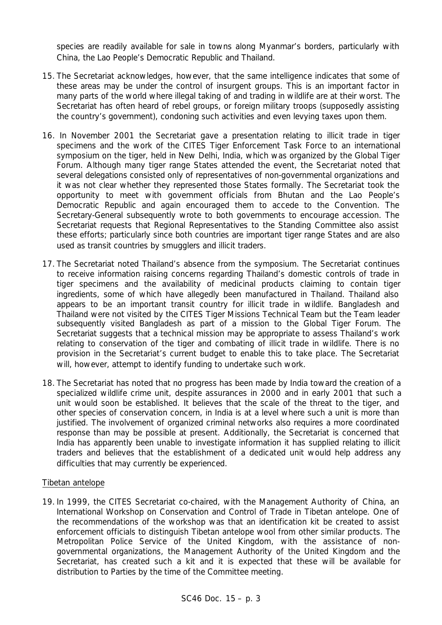species are readily available for sale in towns along Myanmar's borders, particularly with China, the Lao People's Democratic Republic and Thailand.

- 15. The Secretariat acknowledges, however, that the same intelligence indicates that some of these areas may be under the control of insurgent groups. This is an important factor in many parts of the world where illegal taking of and trading in wildlife are at their worst. The Secretariat has often heard of rebel groups, or foreign military troops (supposedly assisting the country's government), condoning such activities and even levying taxes upon them.
- 16. In November 2001 the Secretariat gave a presentation relating to illicit trade in tiger specimens and the work of the CITES Tiger Enforcement Task Force to an international symposium on the tiger, held in New Delhi, India, which was organized by the Global Tiger Forum. Although many tiger range States attended the event, the Secretariat noted that several delegations consisted only of representatives of non-governmental organizations and it was not clear whether they represented those States formally. The Secretariat took the opportunity to meet with government officials from Bhutan and the Lao People's Democratic Republic and again encouraged them to accede to the Convention. The Secretary-General subsequently wrote to both governments to encourage accession. The Secretariat requests that Regional Representatives to the Standing Committee also assist these efforts; particularly since both countries are important tiger range States and are also used as transit countries by smugglers and illicit traders.
- 17. The Secretariat noted Thailand's absence from the symposium. The Secretariat continues to receive information raising concerns regarding Thailand's domestic controls of trade in tiger specimens and the availability of medicinal products claiming to contain tiger ingredients, some of which have allegedly been manufactured in Thailand. Thailand also appears to be an important transit country for illicit trade in wildlife. Bangladesh and Thailand were not visited by the CITES Tiger Missions Technical Team but the Team leader subsequently visited Bangladesh as part of a mission to the Global Tiger Forum. The Secretariat suggests that a technical mission may be appropriate to assess Thailand's work relating to conservation of the tiger and combating of illicit trade in wildlife. There is no provision in the Secretariat's current budget to enable this to take place. The Secretariat will, however, attempt to identify funding to undertake such work.
- 18. The Secretariat has noted that no progress has been made by India toward the creation of a specialized wildlife crime unit, despite assurances in 2000 and in early 2001 that such a unit would soon be established. It believes that the scale of the threat to the tiger, and other species of conservation concern, in India is at a level where such a unit is more than justified. The involvement of organized criminal networks also requires a more coordinated response than may be possible at present. Additionally, the Secretariat is concerned that India has apparently been unable to investigate information it has supplied relating to illicit traders and believes that the establishment of a dedicated unit would help address any difficulties that may currently be experienced.

### Tibetan antelope

19. In 1999, the CITES Secretariat co-chaired, with the Management Authority of China, an International Workshop on Conservation and Control of Trade in Tibetan antelope. One of the recommendations of the workshop was that an identification kit be created to assist enforcement officials to distinguish Tibetan antelope wool from other similar products. The Metropolitan Police Service of the United Kingdom, with the assistance of nongovernmental organizations, the Management Authority of the United Kingdom and the Secretariat, has created such a kit and it is expected that these will be available for distribution to Parties by the time of the Committee meeting.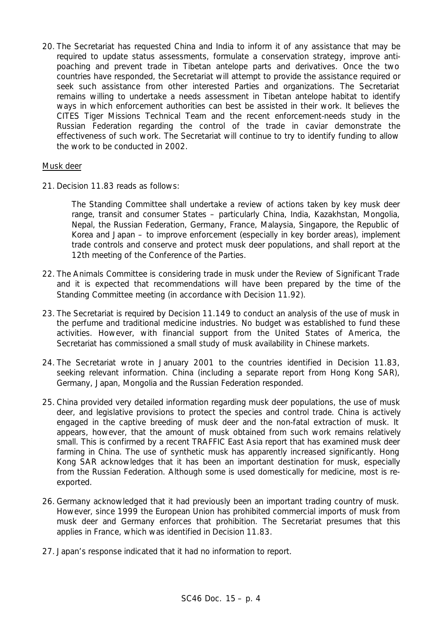20. The Secretariat has requested China and India to inform it of any assistance that may be required to update status assessments, formulate a conservation strategy, improve antipoaching and prevent trade in Tibetan antelope parts and derivatives. Once the two countries have responded, the Secretariat will attempt to provide the assistance required or seek such assistance from other interested Parties and organizations. The Secretariat remains willing to undertake a needs assessment in Tibetan antelope habitat to identify ways in which enforcement authorities can best be assisted in their work. It believes the CITES Tiger Missions Technical Team and the recent enforcement-needs study in the Russian Federation regarding the control of the trade in caviar demonstrate the effectiveness of such work. The Secretariat will continue to try to identify funding to allow the work to be conducted in 2002.

### Musk deer

21. Decision 11.83 reads as follows:

*The Standing Committee shall undertake a review of actions taken by key musk deer range, transit and consumer States – particularly China, India, Kazakhstan, Mongolia, Nepal, the Russian Federation, Germany, France, Malaysia, Singapore, the Republic of Korea and Japan – to improve enforcement (especially in key border areas), implement trade controls and conserve and protect musk deer populations, and shall report at the 12th meeting of the Conference of the Parties.*

- 22. The Animals Committee is considering trade in musk under the Review of Significant Trade and it is expected that recommendations will have been prepared by the time of the Standing Committee meeting (in accordance with Decision 11.92).
- 23. The Secretariat is required by Decision 11.149 to conduct an analysis of the use of musk in the perfume and traditional medicine industries. No budget was established to fund these activities. However, with financial support from the United States of America, the Secretariat has commissioned a small study of musk availability in Chinese markets.
- 24. The Secretariat wrote in January 2001 to the countries identified in Decision 11.83, seeking relevant information. China (including a separate report from Hong Kong SAR), Germany, Japan, Mongolia and the Russian Federation responded.
- 25. China provided very detailed information regarding musk deer populations, the use of musk deer, and legislative provisions to protect the species and control trade. China is actively engaged in the captive breeding of musk deer and the non-fatal extraction of musk. It appears, however, that the amount of musk obtained from such work remains relatively small. This is confirmed by a recent TRAFFIC East Asia report that has examined musk deer farming in China. The use of synthetic musk has apparently increased significantly. Hong Kong SAR acknowledges that it has been an important destination for musk, especially from the Russian Federation. Although some is used domestically for medicine, most is reexported.
- 26. Germany acknowledged that it had previously been an important trading country of musk. However, since 1999 the European Union has prohibited commercial imports of musk from musk deer and Germany enforces that prohibition. The Secretariat presumes that this applies in France, which was identified in Decision 11.83.
- 27. Japan's response indicated that it had no information to report.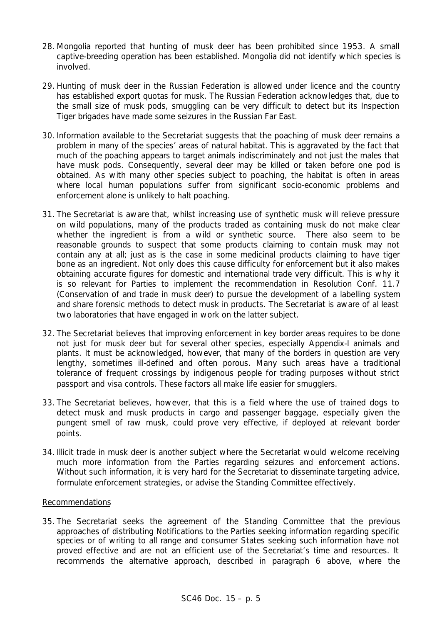- 28. Mongolia reported that hunting of musk deer has been prohibited since 1953. A small captive-breeding operation has been established. Mongolia did not identify which species is involved.
- 29. Hunting of musk deer in the Russian Federation is allowed under licence and the country has established export quotas for musk. The Russian Federation acknowledges that, due to the small size of musk pods, smuggling can be very difficult to detect but its Inspection Tiger brigades have made some seizures in the Russian Far East.
- 30. Information available to the Secretariat suggests that the poaching of musk deer remains a problem in many of the species' areas of natural habitat. This is aggravated by the fact that much of the poaching appears to target animals indiscriminately and not just the males that have musk pods. Consequently, several deer may be killed or taken before one pod is obtained. As with many other species subject to poaching, the habitat is often in areas where local human populations suffer from significant socio-economic problems and enforcement alone is unlikely to halt poaching.
- 31. The Secretariat is aware that, whilst increasing use of synthetic musk will relieve pressure on wild populations, many of the products traded as containing musk do not make clear whether the ingredient is from a wild or synthetic source. There also seem to be reasonable grounds to suspect that some products claiming to contain musk may not contain any at all; just as is the case in some medicinal products claiming to have tiger bone as an ingredient. Not only does this cause difficulty for enforcement but it also makes obtaining accurate figures for domestic and international trade very difficult. This is why it is so relevant for Parties to implement the recommendation in Resolution Conf. 11.7 (Conservation of and trade in musk deer) to pursue the development of a labelling system and share forensic methods to detect musk in products. The Secretariat is aware of al least two laboratories that have engaged in work on the latter subject.
- 32. The Secretariat believes that improving enforcement in key border areas requires to be done not just for musk deer but for several other species, especially Appendix-I animals and plants. It must be acknowledged, however, that many of the borders in question are very lengthy, sometimes ill-defined and often porous. Many such areas have a traditional tolerance of frequent crossings by indigenous people for trading purposes without strict passport and visa controls. These factors all make life easier for smugglers.
- 33. The Secretariat believes, however, that this is a field where the use of trained dogs to detect musk and musk products in cargo and passenger baggage, especially given the pungent smell of raw musk, could prove very effective, if deployed at relevant border points.
- 34. Illicit trade in musk deer is another subject where the Secretariat would welcome receiving much more information from the Parties regarding seizures and enforcement actions. Without such information, it is very hard for the Secretariat to disseminate targeting advice, formulate enforcement strategies, or advise the Standing Committee effectively.

### Recommendations

35. The Secretariat seeks the agreement of the Standing Committee that the previous approaches of distributing Notifications to the Parties seeking information regarding specific species or of writing to all range and consumer States seeking such information have not proved effective and are not an efficient use of the Secretariat's time and resources. It recommends the alternative approach, described in paragraph 6 above, where the